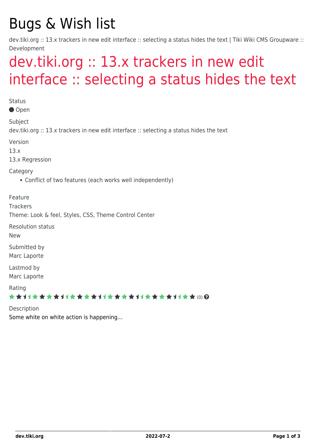## Bugs & Wish list

dev.tiki.org :: 13.x trackers in new edit interface :: selecting a status hides the text | Tiki Wiki CMS Groupware :: Development

## [dev.tiki.org :: 13.x trackers in new edit](https://dev.tiki.org/item5352-dev-tiki-org-13-x-trackers-in-new-edit-interface-selecting-a-status-hides-the-text) [interface :: selecting a status hides the text](https://dev.tiki.org/item5352-dev-tiki-org-13-x-trackers-in-new-edit-interface-selecting-a-status-hides-the-text)

**Status** Open Subject dev.tiki.org :: 13.x trackers in new edit interface :: selecting a status hides the text Version 13.x 13.x Regression Category Conflict of two features (each works well independently) Feature **Trackers** Theme: Look & feel, Styles, CSS, Theme Control Center Resolution status New Submitted by Marc Laporte Lastmod by Marc Laporte Rating \*\*\*\*\*\*\*\*\*\*\*\*\*\*\*\*\*\*\*\*\*\*\*\*\*\*\*\*\*\* Description Some white on white action is happening...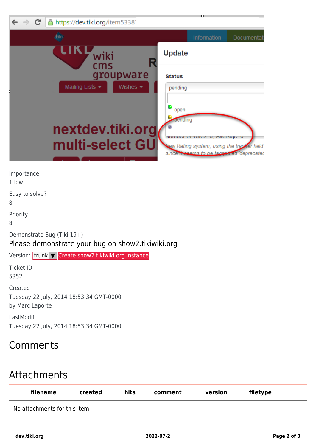| $\leftarrow$ $\rightarrow$ C<br>A https://dev.tiki.org/item5338? | n                                                                                       |
|------------------------------------------------------------------|-----------------------------------------------------------------------------------------|
|                                                                  | Information<br>Documentat                                                               |
| wiki<br>cms                                                      | Update                                                                                  |
| groupware<br>Mailing Lists -<br>Wishes $\star$                   | <b>Status</b><br>pending                                                                |
|                                                                  | open<br>pending                                                                         |
| nextdev.tiki.org                                                 | INGITION OF VOICS, U, AVUICIQU, U                                                       |
| multi-select GU                                                  | New Rating system, using the tracker field<br>since it seems to be tagged as deprecated |

Importance

1 low

Easy to solve?

8

Priority

8

Demonstrate Bug (Tiki 19+)

Please demonstrate your bug on show2.tikiwiki.org

Version: trunk ▼ [Create show2.tikiwiki.org instance](#page--1-0)

Ticket ID 5352

Created Tuesday 22 July, 2014 18:53:34 GMT-0000 by Marc Laporte

LastModif Tuesday 22 July, 2014 18:53:34 GMT-0000

## **Comments**

## Attachments

| filename                     | created | hits | comment | version | filetype |  |
|------------------------------|---------|------|---------|---------|----------|--|
| No attachments for this item |         |      |         |         |          |  |